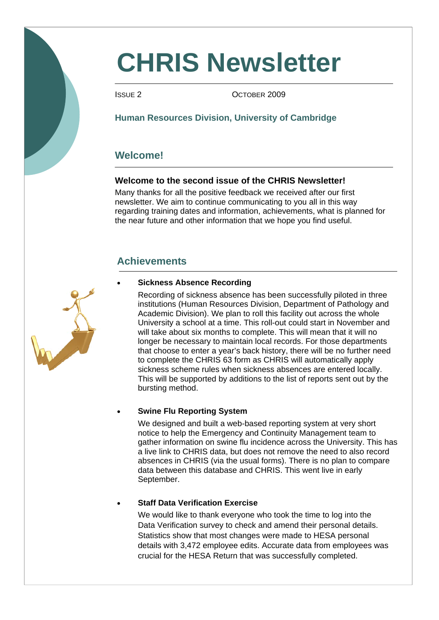# **CHRIS Newsletter**

ISSUE 2 OCTOBER 2009

# **Human Resources Division, University of Cambridge**

# **Welcome!**

# **Welcome to the second issue of the CHRIS Newsletter!**

Many thanks for all the positive feedback we received after our first newsletter. We aim to continue communicating to you all in this way regarding training dates and information, achievements, what is planned for the near future and other information that we hope you find useful.

# **Achievements**

### • **Sickness Absence Recording**

 Recording of sickness absence has been successfully piloted in three institutions (Human Resources Division, Department of Pathology and Academic Division). We plan to roll this facility out across the whole University a school at a time. This roll-out could start in November and will take about six months to complete. This will mean that it will no longer be necessary to maintain local records. For those departments that choose to enter a year's back history, there will be no further need to complete the CHRIS 63 form as CHRIS will automatically apply sickness scheme rules when sickness absences are entered locally. This will be supported by additions to the list of reports sent out by the bursting method.

## • **Swine Flu Reporting System**

We designed and built a web-based reporting system at very short notice to help the Emergency and Continuity Management team to gather information on swine flu incidence across the University. This has a live link to CHRIS data, but does not remove the need to also record absences in CHRIS (via the usual forms). There is no plan to compare data between this database and CHRIS. This went live in early September.

#### • **Staff Data Verification Exercise**

We would like to thank everyone who took the time to log into the Data Verification survey to check and amend their personal details. Statistics show that most changes were made to HESA personal details with 3,472 employee edits. Accurate data from employees was crucial for the HESA Return that was successfully completed.

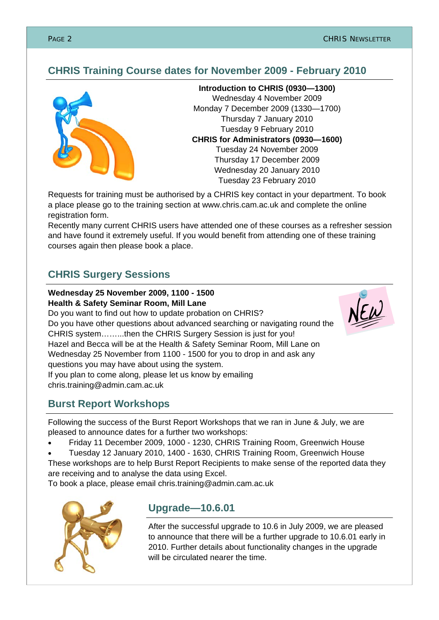# **CHRIS Training Course dates for November 2009 - February 2010**



**Introduction to CHRIS (0930—1300)**  Wednesday 4 November 2009 Monday 7 December 2009 (1330—1700) Thursday 7 January 2010 Tuesday 9 February 2010 **CHRIS for Administrators (0930—1600)**  Tuesday 24 November 2009 Thursday 17 December 2009 Wednesday 20 January 2010 Tuesday 23 February 2010

Requests for training must be authorised by a CHRIS key contact in your department. To book a place please go to the training section at www.chris.cam.ac.uk and complete the online registration form.

Recently many current CHRIS users have attended one of these courses as a refresher session and have found it extremely useful. If you would benefit from attending one of these training courses again then please book a place.

# **CHRIS Surgery Sessions**

#### **Wednesday 25 November 2009, 1100 - 1500 Health & Safety Seminar Room, Mill Lane**

Do you want to find out how to update probation on CHRIS? Do you have other questions about advanced searching or navigating round the CHRIS system……...then the CHRIS Surgery Session is just for you! Hazel and Becca will be at the Health & Safety Seminar Room, Mill Lane on Wednesday 25 November from 1100 - 1500 for you to drop in and ask any questions you may have about using the system. If you plan to come along, please let us know by emailing chris.training@admin.cam.ac.uk

# **Burst Report Workshops**

Following the success of the Burst Report Workshops that we ran in June & July, we are pleased to announce dates for a further two workshops:

- Friday 11 December 2009, 1000 1230, CHRIS Training Room, Greenwich House
- Tuesday 12 January 2010, 1400 1630, CHRIS Training Room, Greenwich House

These workshops are to help Burst Report Recipients to make sense of the reported data they are receiving and to analyse the data using Excel.

To book a place, please email chris.training@admin.cam.ac.uk



# **Upgrade—10.6.01**

After the successful upgrade to 10.6 in July 2009, we are pleased to announce that there will be a further upgrade to 10.6.01 early in 2010. Further details about functionality changes in the upgrade will be circulated nearer the time.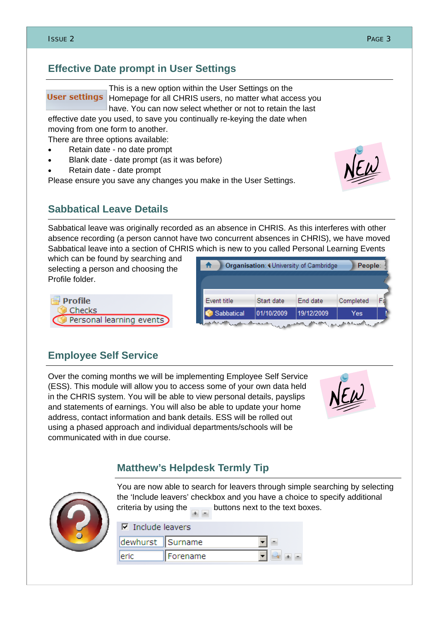# **Effective Date prompt in User Settings**

This is a new option within the User Settings on the **User settings** Homepage for all CHRIS users, no matter what access you have. You can now select whether or not to retain the last

effective date you used, to save you continually re-keying the date when moving from one form to another.

There are three options available:

- Retain date no date prompt
- Blank date date prompt (as it was before)
- Retain date date prompt

**Sabbatical Leave Details** 

Please ensure you save any changes you make in the User Settings.

Sabbatical leave was originally recorded as an absence in CHRIS. As this interferes with other absence recording (a person cannot have two concurrent absences in CHRIS), we have moved Sabbatical leave into a section of CHRIS which is new to you called Personal Learning Events

which can be found by searching and selecting a person and choosing the Profile folder.



| Event title<br>Start date<br>End date         |  |
|-----------------------------------------------|--|
|                                               |  |
| Completed                                     |  |
| 01/10/2009<br>19/12/2009<br>Sabbatical<br>Yes |  |

# **Employee Self Service**

Over the coming months we will be implementing Employee Self Service (ESS). This module will allow you to access some of your own data held in the CHRIS system. You will be able to view personal details, payslips and statements of earnings. You will also be able to update your home address, contact information and bank details. ESS will be rolled out using a phased approach and individual departments/schools will be communicated with in due course.



# **Matthew's Helpdesk Termly Tip**



You are now able to search for leavers through simple searching by selecting the 'Include leavers' checkbox and you have a choice to specify additional criteria by using the  $b$  buttons next to the text boxes.

| $\nabla$ Include leavers |          |  |
|--------------------------|----------|--|
| dewhurst Surname         |          |  |
| eric                     | Forename |  |